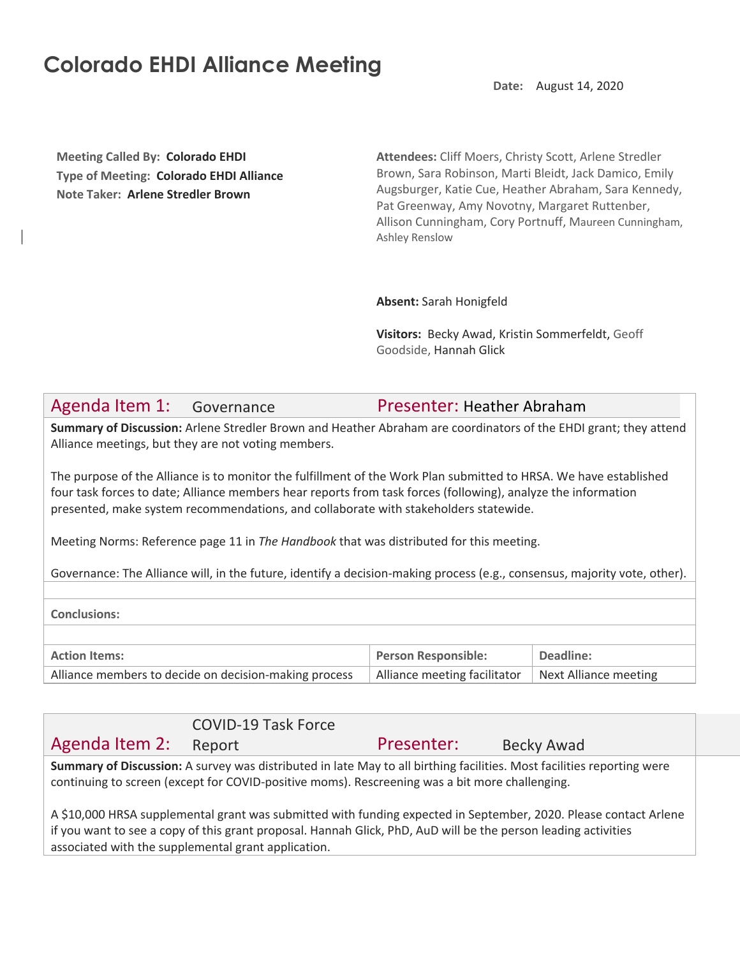## **Colorado EHDI Alliance Meeting**

**Date:** August 14, 2020

**Meeting Called By: Colorado EHDI Type of Meeting: Colorado EHDI Alliance Note Taker: Arlene Stredler Brown**

**Attendees:** Cliff Moers, Christy Scott, Arlene Stredler Brown, Sara Robinson, Marti Bleidt, Jack Damico, Emily Augsburger, Katie Cue, Heather Abraham, Sara Kennedy, Pat Greenway, Amy Novotny, Margaret Ruttenber, Allison Cunningham, Cory Portnuff, Maureen Cunningham, Ashley Renslow

**Absent:** Sarah Honigfeld

**Visitors:** Becky Awad, Kristin Sommerfeldt, Geoff Goodside, Hannah Glick

## Agenda Item 1: Governance Presenter: Heather Abraham

**Summary of Discussion:** Arlene Stredler Brown and Heather Abraham are coordinators of the EHDI grant; they attend Alliance meetings, but they are not voting members.

The purpose of the Alliance is to monitor the fulfillment of the Work Plan submitted to HRSA. We have established four task forces to date; Alliance members hear reports from task forces (following), analyze the information presented, make system recommendations, and collaborate with stakeholders statewide.

Meeting Norms: Reference page 11 in *The Handbook* that was distributed for this meeting.

Governance: The Alliance will, in the future, identify a decision-making process (e.g., consensus, majority vote, other).

**Conclusions:**

| <b>Action Items:</b>                                  | Person Responsible:                                  | <sup>1</sup> Deadline: |
|-------------------------------------------------------|------------------------------------------------------|------------------------|
| Alliance members to decide on decision-making process | Alliance meeting facilitator   Next Alliance meeting |                        |

|                                                                                                                                                                                                                          | <b>COVID-19 Task Force</b> |            |            |
|--------------------------------------------------------------------------------------------------------------------------------------------------------------------------------------------------------------------------|----------------------------|------------|------------|
| Agenda Item 2:                                                                                                                                                                                                           | Report                     | Presenter: | Becky Awad |
| Summary of Discussion: A survey was distributed in late May to all birthing facilities. Most facilities reporting were<br>continuing to screen (except for COVID-positive moms). Rescreening was a bit more challenging. |                            |            |            |
| A \$10,000 HRSA supplemental grant was submitted with funding expected in September, 2020. Please contact Arlene                                                                                                         |                            |            |            |

if you want to see a copy of this grant proposal. Hannah Glick, PhD, AuD will be the person leading activities associated with the supplemental grant application.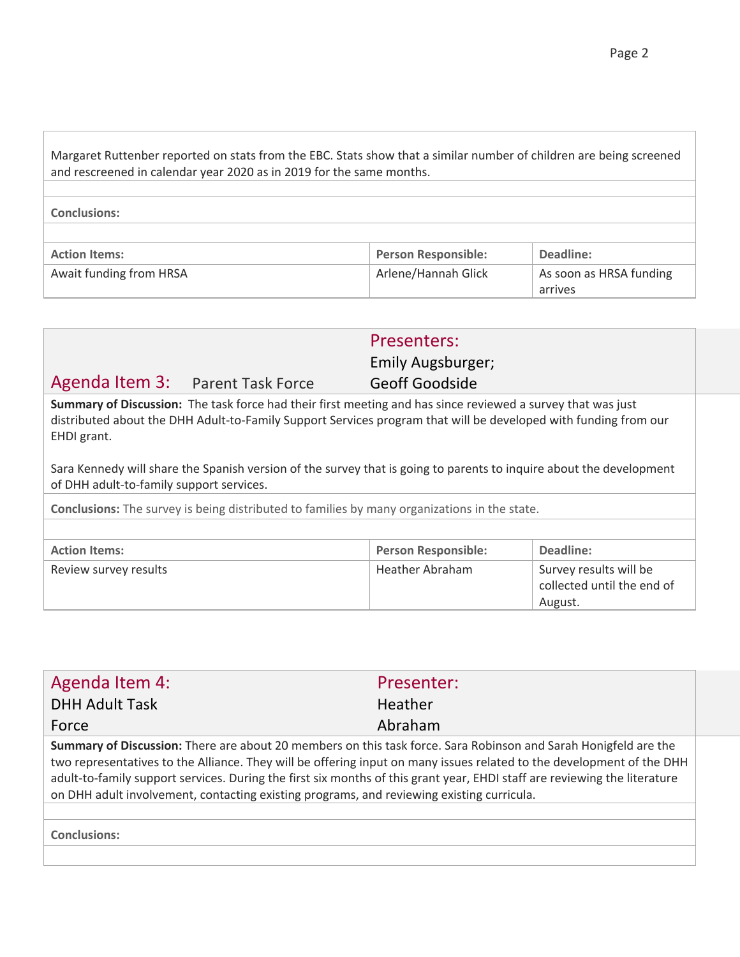| Margaret Ruttenber reported on stats from the EBC. Stats show that a similar number of children are being screened<br>and rescreened in calendar year 2020 as in 2019 for the same months. |                            |                         |  |
|--------------------------------------------------------------------------------------------------------------------------------------------------------------------------------------------|----------------------------|-------------------------|--|
|                                                                                                                                                                                            |                            |                         |  |
| <b>Conclusions:</b>                                                                                                                                                                        |                            |                         |  |
|                                                                                                                                                                                            |                            |                         |  |
| <b>Action Items:</b>                                                                                                                                                                       | <b>Person Responsible:</b> | Deadline:               |  |
| Await funding from HRSA                                                                                                                                                                    | Arlene/Hannah Glick        | As soon as HRSA funding |  |

|                                                                                                                   |                                  | Presenters:       |  |
|-------------------------------------------------------------------------------------------------------------------|----------------------------------|-------------------|--|
|                                                                                                                   |                                  | Emily Augsburger; |  |
|                                                                                                                   | Agenda Item 3: Parent Task Force | Geoff Goodside    |  |
| . A secondo de Entre de tras militaria de la contrata de Araba de la contrata de la contrata de la contrata de la |                                  |                   |  |

**Summary of Discussion:** The task force had their first meeting and has since reviewed a survey that was just distributed about the DHH Adult-to-Family Support Services program that will be developed with funding from our EHDI grant.

Sara Kennedy will share the Spanish version of the survey that is going to parents to inquire about the development of DHH adult-to-family support services.

**Conclusions:** The survey is being distributed to families by many organizations in the state.

| <b>Action Items:</b>  | <b>Person Responsible:</b> | Deadline:                                                       |
|-----------------------|----------------------------|-----------------------------------------------------------------|
| Review survey results | Heather Abraham            | Survey results will be<br>collected until the end of<br>August. |

| Agenda Item 4:                                                                                                                                                                                                                                                                                                                                                                                                                                                     | Presenter: |  |
|--------------------------------------------------------------------------------------------------------------------------------------------------------------------------------------------------------------------------------------------------------------------------------------------------------------------------------------------------------------------------------------------------------------------------------------------------------------------|------------|--|
| <b>DHH Adult Task</b>                                                                                                                                                                                                                                                                                                                                                                                                                                              | Heather    |  |
| Force                                                                                                                                                                                                                                                                                                                                                                                                                                                              | Abraham    |  |
| Summary of Discussion: There are about 20 members on this task force. Sara Robinson and Sarah Honigfeld are the<br>two representatives to the Alliance. They will be offering input on many issues related to the development of the DHH<br>adult-to-family support services. During the first six months of this grant year, EHDI staff are reviewing the literature<br>on DHH adult involvement, contacting existing programs, and reviewing existing curricula. |            |  |
| <b>Conclusions:</b>                                                                                                                                                                                                                                                                                                                                                                                                                                                |            |  |

arrives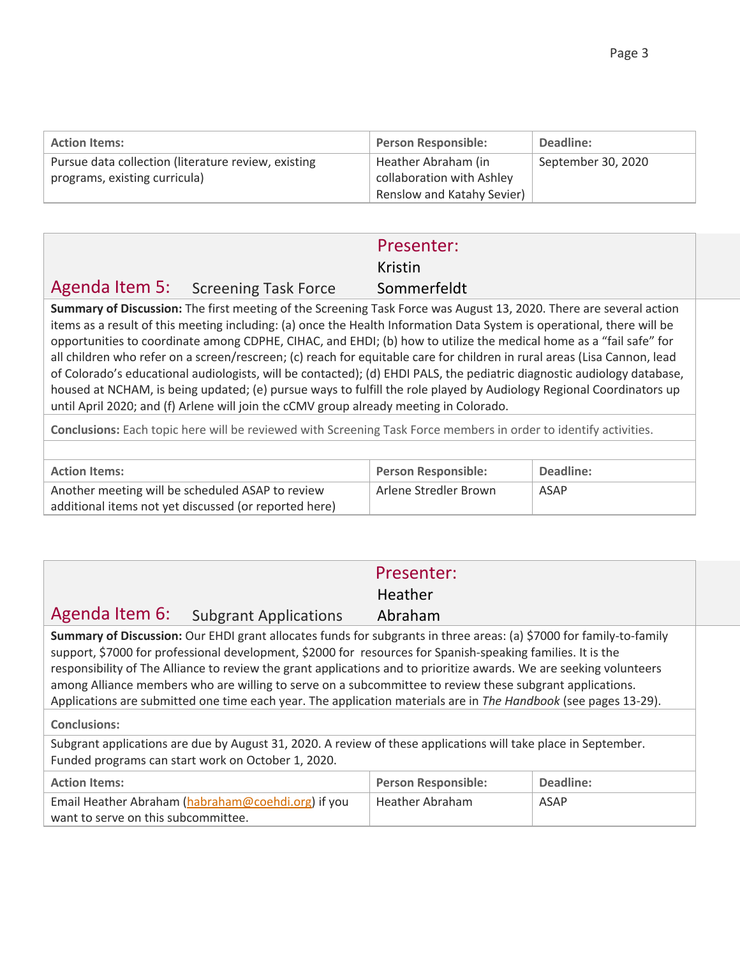| <b>Action Items:</b>                                                                 | <b>Person Responsible:</b>                                                     | Deadline:          |
|--------------------------------------------------------------------------------------|--------------------------------------------------------------------------------|--------------------|
| Pursue data collection (literature review, existing<br>programs, existing curricula) | Heather Abraham (in<br>collaboration with Ashley<br>Renslow and Katahy Sevier) | September 30, 2020 |

|                      |                                     | Presenter:                 |  |
|----------------------|-------------------------------------|----------------------------|--|
|                      |                                     | Kristin                    |  |
|                      | Agenda Item 5: Screening Task Force | Sommerfeldt                |  |
| $\sim$ $\sim$ $\sim$ | — c c                               | $\cdots$ $\cdots$ $\cdots$ |  |

**Summary of Discussion:** The first meeting of the Screening Task Force was August 13, 2020. There are several action items as a result of this meeting including: (a) once the Health Information Data System is operational, there will be opportunities to coordinate among CDPHE, CIHAC, and EHDI; (b) how to utilize the medical home as a "fail safe" for all children who refer on a screen/rescreen; (c) reach for equitable care for children in rural areas (Lisa Cannon, lead of Colorado's educational audiologists, will be contacted); (d) EHDI PALS, the pediatric diagnostic audiology database, housed at NCHAM, is being updated; (e) pursue ways to fulfill the role played by Audiology Regional Coordinators up until April 2020; and (f) Arlene will join the cCMV group already meeting in Colorado.

**Conclusions:** Each topic here will be reviewed with Screening Task Force members in order to identify activities.

| <b>Action Items:</b>                                  | <b>Person Responsible:</b> | Deadline: |
|-------------------------------------------------------|----------------------------|-----------|
| Another meeting will be scheduled ASAP to review      | Arlene Stredler Brown      | ASAP      |
| additional items not yet discussed (or reported here) |                            |           |

|                                                                                                                                                                                                                                                                                                                                                                                                                                                                                                                                                                                                                 | Presenter:                 |           |  |
|-----------------------------------------------------------------------------------------------------------------------------------------------------------------------------------------------------------------------------------------------------------------------------------------------------------------------------------------------------------------------------------------------------------------------------------------------------------------------------------------------------------------------------------------------------------------------------------------------------------------|----------------------------|-----------|--|
|                                                                                                                                                                                                                                                                                                                                                                                                                                                                                                                                                                                                                 | Heather                    |           |  |
| Agenda Item 6: Subgrant Applications                                                                                                                                                                                                                                                                                                                                                                                                                                                                                                                                                                            | Abraham                    |           |  |
| Summary of Discussion: Our EHDI grant allocates funds for subgrants in three areas: (a) \$7000 for family-to-family<br>support, \$7000 for professional development, \$2000 for resources for Spanish-speaking families. It is the<br>responsibility of The Alliance to review the grant applications and to prioritize awards. We are seeking volunteers<br>among Alliance members who are willing to serve on a subcommittee to review these subgrant applications.<br>Applications are submitted one time each year. The application materials are in The Handbook (see pages 13-29).<br><b>Conclusions:</b> |                            |           |  |
| Subgrant applications are due by August 31, 2020. A review of these applications will take place in September.<br>Funded programs can start work on October 1, 2020.                                                                                                                                                                                                                                                                                                                                                                                                                                            |                            |           |  |
| <b>Action Items:</b>                                                                                                                                                                                                                                                                                                                                                                                                                                                                                                                                                                                            | <b>Person Responsible:</b> | Deadline: |  |
| Email Heather Abraham (habraham@coehdi.org) if you<br>want to serve on this subcommittee.                                                                                                                                                                                                                                                                                                                                                                                                                                                                                                                       | <b>Heather Abraham</b>     | ASAP      |  |